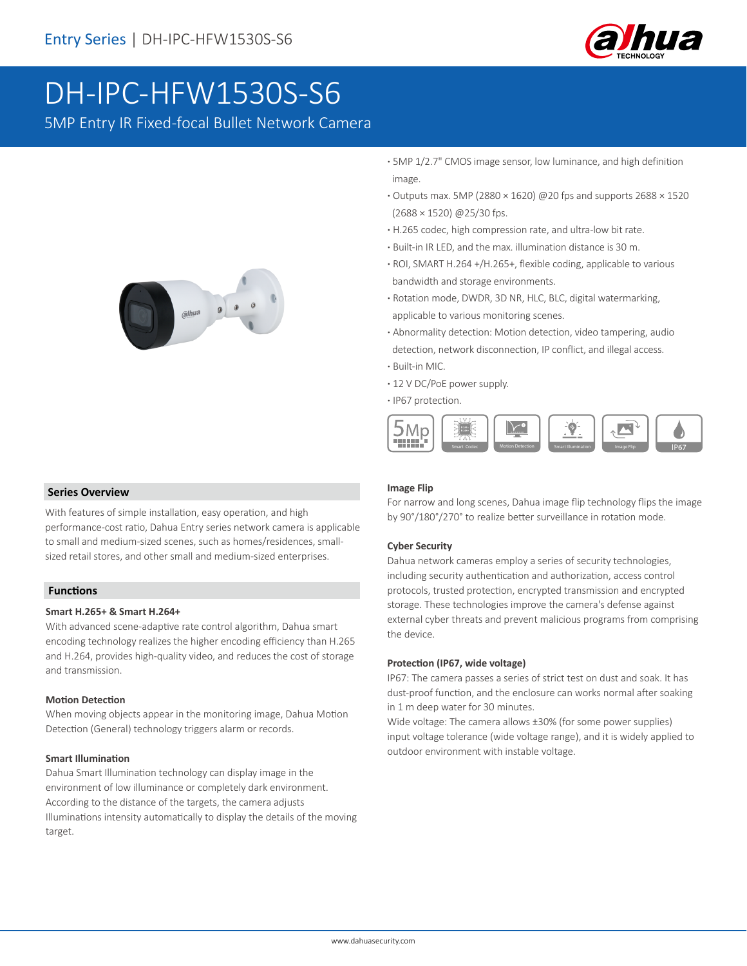

# DH-IPC-HFW1530S-S6

5MP Entry IR Fixed-focal Bullet Network Camera



 **Series Overview**

With features of simple installation, easy operation, and high performance-cost ratio, Dahua Entry series network camera is applicable to small and medium-sized scenes, such as homes/residences, smallsized retail stores, and other small and medium-sized enterprises.

### **Functions**

#### **Smart H.265+ & Smart H.264+**

With advanced scene-adaptive rate control algorithm, Dahua smart encoding technology realizes the higher encoding efficiency than H.265 and H.264, provides high-quality video, and reduces the cost of storage and transmission.

### **Motion Detection**

When moving objects appear in the monitoring image, Dahua Motion Detection (General) technology triggers alarm or records.

### **Smart Illumination**

Dahua Smart Illumination technology can display image in the environment of low illuminance or completely dark environment. According to the distance of the targets, the camera adjusts Illuminations intensity automatically to display the details of the moving target.

- **·** 5MP 1/2.7" CMOS image sensor, low luminance, and high definition image.
- **·** Outputs max. 5MP (2880 × 1620) @20 fps and supports 2688 × 1520 (2688 × 1520) @25/30 fps.
- **·** H.265 codec, high compression rate, and ultra-low bit rate.
- **·** Built-in IR LED, and the max. illumination distance is 30 m.
- **·** ROI, SMART H.264 +/H.265+, flexible coding, applicable to various bandwidth and storage environments.
- **·** Rotation mode, DWDR, 3D NR, HLC, BLC, digital watermarking, applicable to various monitoring scenes.
- **·** Abnormality detection: Motion detection, video tampering, audio detection, network disconnection, IP conflict, and illegal access.
- **·** Built-in MIC.
- **·** 12 V DC/PoE power supply.
- **·** IP67 protection.



### **Image Flip**

For narrow and long scenes, Dahua image flip technology flips the image by 90°/180°/270° to realize better surveillance in rotation mode.

### **Cyber Security**

Dahua network cameras employ a series of security technologies, including security authentication and authorization, access control protocols, trusted protection, encrypted transmission and encrypted storage. These technologies improve the camera's defense against external cyber threats and prevent malicious programs from comprising the device.

### **Protection (IP67, wide voltage)**

IP67: The camera passes a series of strict test on dust and soak. It has dust-proof function, and the enclosure can works normal after soaking in 1 m deep water for 30 minutes.

Wide voltage: The camera allows ±30% (for some power supplies) input voltage tolerance (wide voltage range), and it is widely applied to outdoor environment with instable voltage.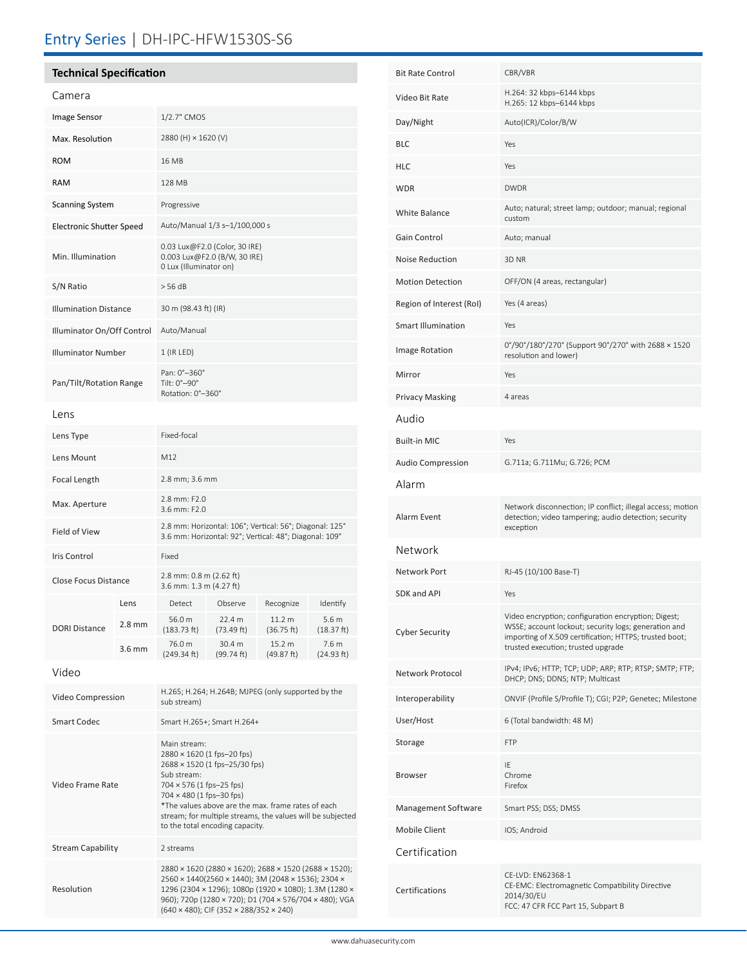# Entry Series | DH-IPC-HFW1530S-S6

### **Technical Specification** Camera Image Sensor 1/2.7" CMOS Max. Resolution 2880 (H) × 1620 (V) ROM 16 MB RAM 128 MB Scanning System Progressive Electronic Shutter Speed Auto/Manual 1/3 s–1/100,000 s Min. Illumination 0.03 Lux@F2.0 (Color, 30 IRE) 0.003 Lux@F2.0 (B/W, 30 IRE) 0 Lux (Illuminator on) S/N Ratio  $>$  56 dB Illumination Distance 30 m (98.43 ft) (IR) Illuminator On/Off Control Auto/Manual Illuminator Number 1 (IR LED) Pan/Tilt/Rotation Range Pan: 0°–360° Tilt: 0°–90° Rotation: 0°–360° Lens Lens Type Fixed-focal Lens Mount M12 Focal Length 2.8 mm; 3.6 mm Max. Aperture 2.8 mm: F2.0 3.6 mm: F2.0 Field of View 2.8 mm: Horizontal: 106°; Vertical: 56°; Diagonal: 125° 3.6 mm: Horizontal: 92°; Vertical: 48°; Diagonal: 109° Iris Control Fixed Close Focus Distance 2.8 mm: 0.8 m (2.62 ft) 3.6 mm: 1.3 m (4.27 ft) DORI Distance Lens Detect Observe Recognize Identify 2.8 mm  $56.0 m$ (183.73 ft) 22.4 m (73.49 ft) 11.2 m (36.75 ft) 5.6 m (18.37 ft) 3.6 mm  $^{76.0 \text{ m}}$ (249.34 ft) 30.4 m (99.74 ft) 15.2 m (49.87 ft) 7.6 m (24.93 ft) Video Video Compression H.265; H.264; H.264B; MJPEG (only supported by the sub stream) Smart Codec Smart H.265+; Smart H.264+ Video Frame Rate Main stream: 2880 × 1620 (1 fps–20 fps) 2688 × 1520 (1 fps–25/30 fps) Sub stream: 704 × 576 (1 fps–25 fps) 704 × 480 (1 fps–30 fps) \*The values above are the max. frame rates of each stream; for multiple streams, the values will be subjected to the total encoding capacity. Stream Capability 2 streams 2880 × 1620 (2880 × 1620); 2688 × 1520 (2688 × 1520); 2560 × 1440(2560 × 1440); 3M (2048 × 1536); 2304 ×

Resolution

| Bit Rate Control         | CBR/VBR                                                                                                                                                                                                     |  |  |
|--------------------------|-------------------------------------------------------------------------------------------------------------------------------------------------------------------------------------------------------------|--|--|
| Video Bit Rate           | H.264: 32 kbps-6144 kbps<br>H.265: 12 kbps-6144 kbps                                                                                                                                                        |  |  |
| Day/Night                | Auto(ICR)/Color/B/W                                                                                                                                                                                         |  |  |
| BLC                      | Yes                                                                                                                                                                                                         |  |  |
| HLC                      | Yes                                                                                                                                                                                                         |  |  |
| WDR                      | <b>DWDR</b>                                                                                                                                                                                                 |  |  |
| White Balance            | Auto; natural; street lamp; outdoor; manual; regional<br>custom                                                                                                                                             |  |  |
| Gain Control             | Auto; manual                                                                                                                                                                                                |  |  |
| Noise Reduction          | 3D NR                                                                                                                                                                                                       |  |  |
| <b>Motion Detection</b>  | OFF/ON (4 areas, rectangular)                                                                                                                                                                               |  |  |
| Region of Interest (RoI) | Yes (4 areas)                                                                                                                                                                                               |  |  |
| Smart Illumination       | Yes                                                                                                                                                                                                         |  |  |
| <b>Image Rotation</b>    | 0°/90°/180°/270° (Support 90°/270° with 2688 × 1520<br>resolution and lower)                                                                                                                                |  |  |
| Mirror                   | Yes                                                                                                                                                                                                         |  |  |
| Privacy Masking          | 4 areas                                                                                                                                                                                                     |  |  |
| Audio                    |                                                                                                                                                                                                             |  |  |
| Built-in MIC             | Yes                                                                                                                                                                                                         |  |  |
| Audio Compression        | G.711a; G.711Mu; G.726; PCM                                                                                                                                                                                 |  |  |
| Alarm                    |                                                                                                                                                                                                             |  |  |
| Alarm Event              | Network disconnection; IP conflict; illegal access; motion<br>detection; video tampering; audio detection; security<br>exception                                                                            |  |  |
| Network                  |                                                                                                                                                                                                             |  |  |
| Network Port             | RJ-45 (10/100 Base-T)                                                                                                                                                                                       |  |  |
| SDK and API              | Yes                                                                                                                                                                                                         |  |  |
| Cyber Security           | Video encryption; configuration encryption; Digest;<br>WSSE; account lockout; security logs; generation and<br>importing of X.509 certification; HTTPS; trusted boot;<br>trusted execution; trusted upgrade |  |  |
| Network Protocol         | IPv4; IPv6; HTTP; TCP; UDP; ARP; RTP; RTSP; SMTP; FTP;<br>DHCP; DNS; DDNS; NTP; Multicast                                                                                                                   |  |  |
| Interoperability         | ONVIF (Profile S/Profile T); CGI; P2P; Genetec; Milestone                                                                                                                                                   |  |  |
| User/Host                | 6 (Total bandwidth: 48 M)                                                                                                                                                                                   |  |  |
| Storage                  | <b>FTP</b>                                                                                                                                                                                                  |  |  |
| Browser                  | IE<br>Chrome<br>Firefox                                                                                                                                                                                     |  |  |
| Management Software      | Smart PSS; DSS; DMSS                                                                                                                                                                                        |  |  |
| Mobile Client            | IOS; Android                                                                                                                                                                                                |  |  |
| Certification            |                                                                                                                                                                                                             |  |  |
| Certifications           | CE-LVD: EN62368-1<br>CE-EMC: Electromagnetic Compatibility Directive<br>2014/30/EU<br>FCC: 47 CFR FCC Part 15, Subpart B                                                                                    |  |  |
|                          |                                                                                                                                                                                                             |  |  |

1296 (2304 × 1296); 1080p (1920 × 1080); 1.3M (1280 × 960); 720p (1280 × 720); D1 (704 × 576/704 × 480); VGA

(640 × 480); CIF (352 × 288/352 × 240)